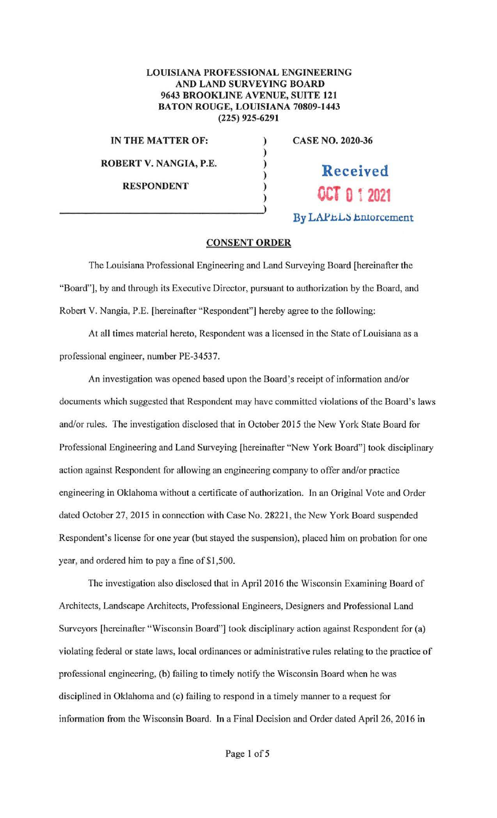## **LOUISIANA PROFESSIONAL ENGINEERING AND LAND SURVEYING BOARD 9643 BROOKLINE A VENUE, SUITE 121 BATON ROUGE, LOUISIANA 70809-1443 (225) 925-6291**

**IN THE MATTER OF: ROBERT V. NANGIA, P.E. RESPONDENT** 

**CASE NO. 2020-36** 

**Received OCT O 1 2021** 

**By LAPELS Entorcement** 

## **CONSENT ORDER**

) ) ) ) ) )

The Louisiana Professional Engineering and Land Surveying Board [hereinafter the "Board"], by and through its Executive Director, pursuant to authorization by the Board, and Robert V. Nangia, P.E. [hereinafter "Respondent"] hereby agree to the following:

At all times material hereto, Respondent was a licensed in the State of Louisiana as a professional engineer, number PE-34537.

An investigation was opened based upon the Board's receipt of information and/or documents which suggested that Respondent may have committed violations of the Board's laws and/or rules. The investigation disclosed that in October 2015 the New York State Board for Professional Engineering and Land Surveying [hereinafter "New York Board"] took disciplinary action against Respondent for allowing an engineering company to offer and/or practice engineering in Oklahoma without a certificate of authorization. In an Original Vote and Order dated October 27, 2015 in connection with Case No. 28221, the New York Board suspended Respondent's license for one year (but stayed the suspension), placed him on probation for one year, and ordered him to pay a fine of \$1,500.

The investigation also disclosed that in April 2016 the Wisconsin Examining Board of Architects, Landscape Architects, Professional Engineers, Designers and Professional Land Surveyors [hereinafter "Wisconsin Board"] took disciplinary action against Respondent for (a) violating federal or state laws, local ordinances or administrative rules relating to the practice of professional engineering, (b) failing to timely notify the Wisconsin Board when he was disciplined in Oklahoma and (c) failing to respond in a timely manner to a request for information from the Wisconsin Board. In a Final Decision and Order dated April 26, 2016 in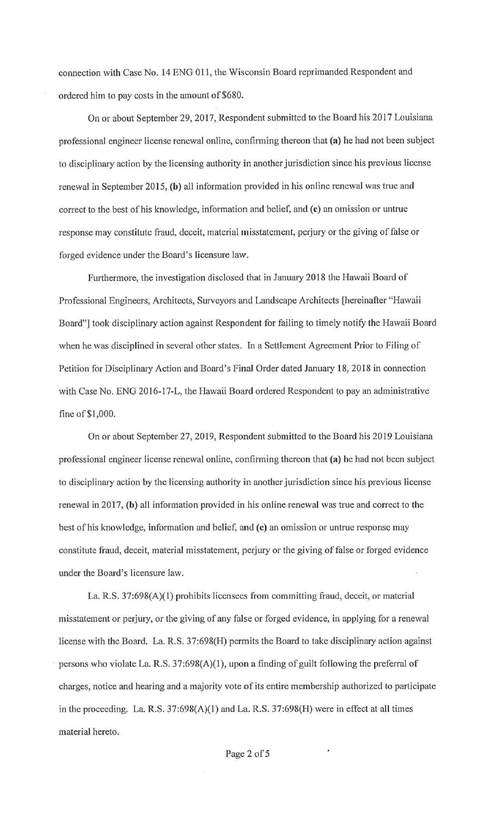connection with Case No. 14 ENG 011, the Wisconsin Board reprimanded Respondent and ordered him to pay costs in the amount of \$680.

On or about September 29, 2017, Respondent submitted to the Board his 2017 Louisiana professional engineer license renewal online, confirming thereon that **(a)** he had not been subject to disciplinary action by the licensing authority in another jurisdiction since his previous license renewal in September 2015, (b) all information provided in his online renewal was true and correct to the best of his knowledge, information and belief, and **(c)** an omission or untrue response may constitute fraud, deceit, material misstatement, perjury or the giving of false or forged evidence under the Board's licensure law.

Furthermore, the investigation disclosed that in January 2018 the Hawaii Board of Professional Engineers, Architects, Surveyors and Landscape Architects [hereinafter "Hawaii Board"] took disciplinary action against Respondent for failing to timely notify the Hawaii Board when he was disciplined in several other states. In a Settlement Agreement Prior to Filing of Petition for Disciplinary Action and Board's Final Order dated January 18, 2018 in connection with Case No. ENG 2016-17-L, the Hawaii Board ordered Respondent to pay an administrative fine of \$1,000.

On or about September 27, 2019, Respondent submitted to the Board his 2019 Louisiana professional engineer license renewal online, confirming thereon that **(a)** he had not been subject to disciplinary action by the licensing authority in another jurisdiction since his previous license renewal in 2017, **(b)** all information provided in his online renewal was true and correct to the best of his knowledge, information and belief, and (c) an omission or untrue response may constitute fraud, deceit, material misstatement, perjury or the giving of false or forged evidence under the Board's licensure law.

La. R.S. 37:698(A)(l) prohibits licensees from committing fraud, deceit, or material misstatement or perjury, or the giving of any false or forged evidence, in applying for a renewal license with the Board. La. R.S. 37:698(H) permits the Board to take disciplinary action against persons who violate La. R.S. 37:698(A)(1), upon a finding of guilt following the preferral of charges, notice and hearing and a majority vote of its entire membership authorized to participate in the proceeding. La. R.S. 37:698(A)(l) and La. R.S. 37:698(H) were in effect at all times material hereto.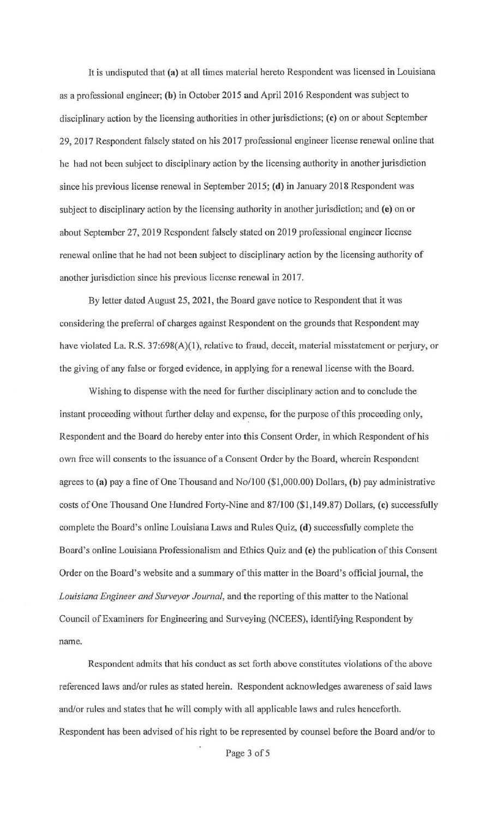It is undisputed that **(a)** at all times material hereto Respondent was licensed in Louisiana as a professional engineer; **(b)** in October 2015 and April 2016 Respondent was subject to disciplinary action by the licensing authorities in other jurisdictions; ( **c)** on or about September 29, 2017 Respondent falsely stated on his 2017 professional engineer license renewal online that he had not been subject to disciplinary action by the licensing authority in another jurisdiction since his previous license renewal in September 2015; **(d)** in January 2018 Respondent was subject to disciplinary action by the licensing authority in another jurisdiction; and (e) on or about September 27, 2019 Respondent falsely stated on 2019 professional engineer license renewal online that he had not been subject to disciplinary action by the licensing authority of another jurisdiction since his previous license renewal in 2017.

By letter dated August 25, 2021, the Board gave notice to Respondent that it was considering the preferral of charges against Respondent on the grounds that Respondent may have violated La. R.S. 37:698(A)(1), relative to fraud, deceit, material misstatement or perjury, or the giving of any false or forged evidence, in applying for a renewal license with the Board.

Wishing to dispense with the need for further disciplinary action and to conclude the instant proceeding without further delay and expense, for the purpose of this proceeding only, Respondent and the Board do hereby enter into this Consent Order, in which Respondent of his own free will consents to the issuance of a Consent Order by the Board, wherein Respondent agrees to **(a)** pay a fine of One Thousand and No/100 (\$1,000.00) Dollars, **(b)** pay administrative costs of One Thousand One Hundred Forty-Nine and 87/100 (\$1,149.87) Dollars, **(c)** successfully complete the Board's online Louisiana Laws and Rules Quiz, **(d)** successfully complete the Board's online Louisiana Professionalism and Ethics Quiz and **(e)** the publication of this Consent Order on the Board's website and a summary of this matter in the Board's official journal, the *Louisiana Engineer and Surveyor Journal,* and the reporting of this matter to the National Council of Examiners for Engineering and Surveying (NCEES), identifying Respondent by name.

Respondent admits that his conduct as set forth above constitutes violations of the above referenced laws and/or rules as stated herein. Respondent acknowledges awareness of said Jaws and/or rules and states that he will comply with all applicable laws and rules henceforth. Respondent has been advised of his right to be represented by counsel before the Board and/or to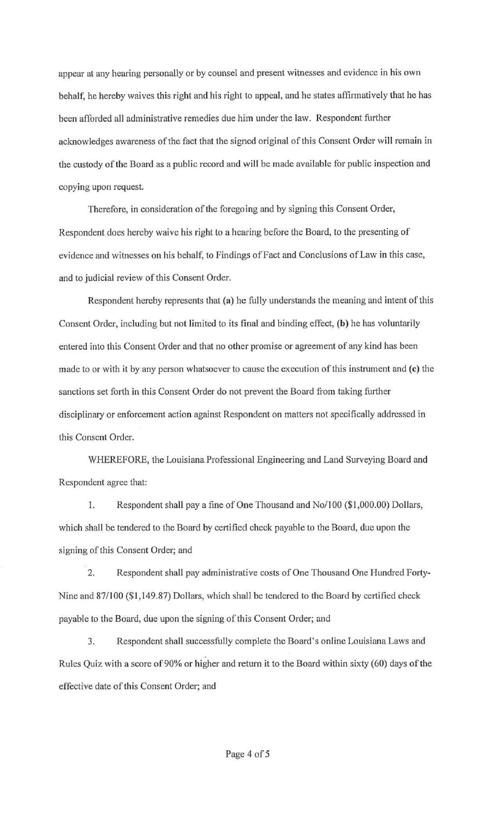appear at any hearing personally or by counsel and present witnesses and evidence in his own behalf, he hereby waives this right and his right to appeal, and he states affirmatively that he has been afforded all administrative remedies due him under the law. Respondent further acknowledges awareness of the fact that the signed original of this Consent Order will remain in the custody of the Board as a public record and will be made available for public inspection and copying upon request.

Therefore, in consideration of the foregoing and by signing this Consent Order, Respondent does hereby waive his right to a hearing before the Board, to the presenting of evidence and witnesses on his behalf, to Findings of Fact and Conclusions of Law in this case, and to judicial review of this Consent Order.

Respondent hereby represents that (a) he fully understands the meaning and intent of this Consent Order, including but not limited to its final and binding effect, (b) he has voluntarily entered into this Consent Order and that no other promise or agreement of any kind has been made to or with it by any person whatsoever to cause the execution of this instrument and (c) the sanctions set forth in this Consent Order do not prevent the Board from taking further disciplinary or enforcement action against Respondent on matters not specifically addressed in this Consent Order.

WHEREFORE, the Louisiana Professional Engineering and Land Surveying Board and Respondent agree that:

1. Respondent shall pay a fine of One Thousand and No/100 (\$1,000.00) Dollars, which shall be tendered to the Board by certified check payable to the Board, due upon the signing of this Consent Order; and

2. Respondent shall pay administrative costs of One Thousand One Hundred Forty-Nine and 87/100 (\$1, 149.87) Dollars, which shall be tendered to the Board by certified check payable to the Board, due upon the signing of this Consent Order; and

3. Respondent shall successfully complete the Board's online Louisiana Laws and Rules Quiz with a score of 90% or higher and return it to the Board within sixty (60) days of the effective date of this Consent Order; and